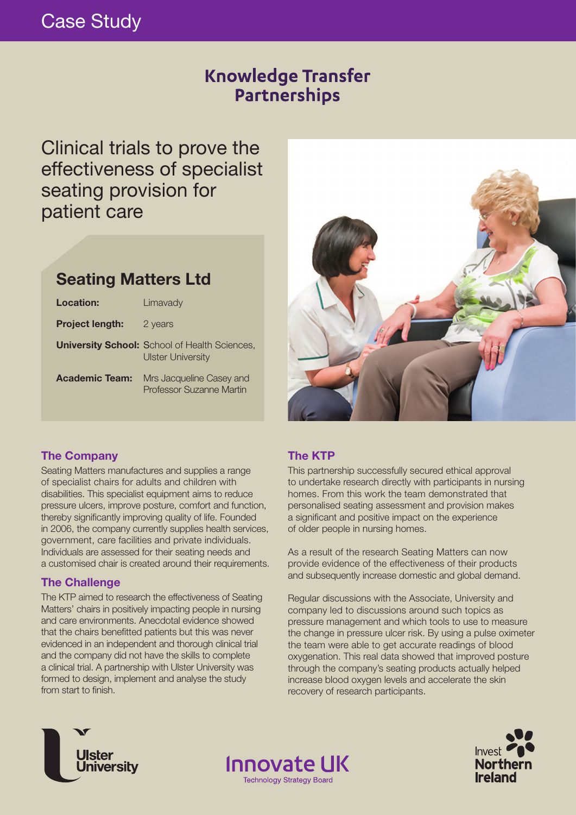# Case Study

## **Knowledge Transfer** Partnerships

Clinical trials to prove the effectiveness of specialist seating provision for patient care

## **Seating Matters Ltd**

| Location:              | Limavady                                                                         |
|------------------------|----------------------------------------------------------------------------------|
| <b>Project length:</b> | 2 years                                                                          |
|                        | <b>University School:</b> School of Health Sciences,<br><b>Ulster University</b> |
| <b>Academic Team:</b>  | Mrs Jacqueline Casey and<br>Professor Suzanne Martin                             |



## **The Company**

Seating Matters manufactures and supplies a range of specialist chairs for adults and children with disabilities. This specialist equipment aims to reduce pressure ulcers, improve posture, comfort and function, thereby significantly improving quality of life. Founded in 2006, the company currently supplies health services, government, care facilities and private individuals. Individuals are assessed for their seating needs and a customised chair is created around their requirements.

## **The Challenge**

The KTP aimed to research the effectiveness of Seating Matters' chairs in positively impacting people in nursing and care environments. Anecdotal evidence showed that the chairs benefitted patients but this was never evidenced in an independent and thorough clinical trial and the company did not have the skills to complete a clinical trial. A partnership with Ulster University was formed to design, implement and analyse the study from start to finish.

## **The KTP**

**Innovate UK** 

**Technology Strategy Board** 

This partnership successfully secured ethical approval to undertake research directly with participants in nursing homes. From this work the team demonstrated that personalised seating assessment and provision makes a significant and positive impact on the experience of older people in nursing homes.

As a result of the research Seating Matters can now provide evidence of the effectiveness of their products and subsequently increase domestic and global demand.

Regular discussions with the Associate, University and company led to discussions around such topics as pressure management and which tools to use to measure the change in pressure ulcer risk. By using a pulse oximeter the team were able to get accurate readings of blood oxygenation. This real data showed that improved posture through the company's seating products actually helped increase blood oxygen levels and accelerate the skin recovery of research participants.